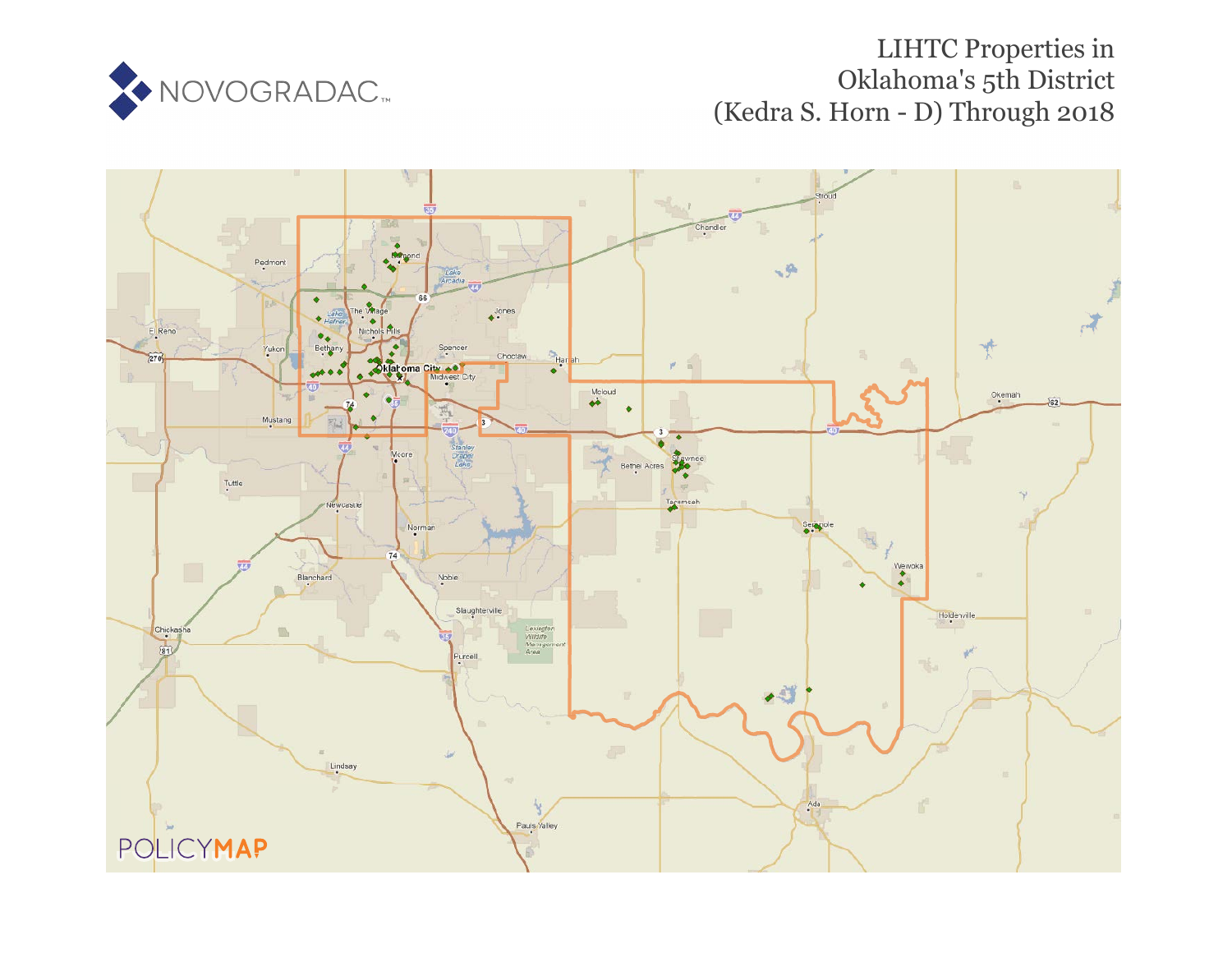

# LIHTC Properties in Oklahoma's 5th District (Kedra S. Horn - D) Through 2018

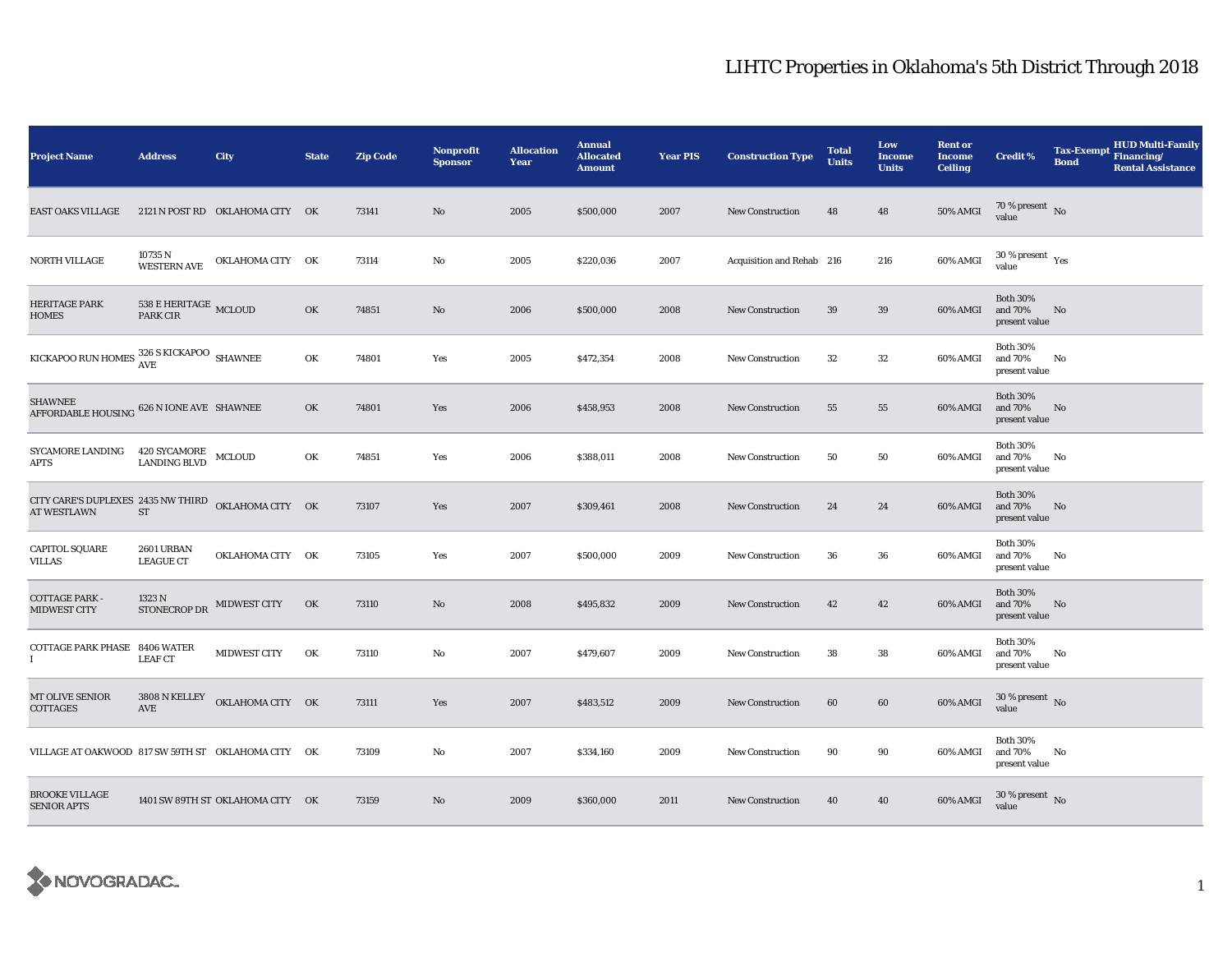| <b>Project Name</b>                                                       | <b>Address</b>                               | City                             | <b>State</b> | <b>Zip Code</b> | <b>Nonprofit</b><br><b>Sponsor</b> | <b>Allocation</b><br>Year | <b>Annual</b><br><b>Allocated</b><br><b>Amount</b> | <b>Year PIS</b> | <b>Construction Type</b>  | <b>Total</b><br><b>Units</b> | Low<br><b>Income</b><br><b>Units</b> | <b>Rent or</b><br><b>Income</b><br><b>Ceiling</b> | <b>Credit %</b>                              | <b>Tax-Exempt</b><br><b>Bond</b> | <b>HUD Multi-Family</b><br>Financing/<br><b>Rental Assistance</b> |
|---------------------------------------------------------------------------|----------------------------------------------|----------------------------------|--------------|-----------------|------------------------------------|---------------------------|----------------------------------------------------|-----------------|---------------------------|------------------------------|--------------------------------------|---------------------------------------------------|----------------------------------------------|----------------------------------|-------------------------------------------------------------------|
| <b>EAST OAKS VILLAGE</b>                                                  |                                              | 2121 N POST RD OKLAHOMA CITY OK  |              | 73141           | No                                 | 2005                      | \$500,000                                          | 2007            | <b>New Construction</b>   | 48                           | 48                                   | 50% AMGI                                          | $70\,\%$ present $\,$ No value               |                                  |                                                                   |
| NORTH VILLAGE                                                             | 10735 N<br>WESTERN AVE                       | OKLAHOMA CITY OK                 |              | 73114           | No                                 | 2005                      | \$220,036                                          | 2007            | Acquisition and Rehab 216 |                              | 216                                  | 60% AMGI                                          | $30$ % present $\rm\thinspace\,Yes$<br>value |                                  |                                                                   |
| <b>HERITAGE PARK</b><br>HOMES                                             | $538$ E HERITAGE $_{\rm MCLOUD}$<br>PARK CIR |                                  | OK           | 74851           | No                                 | 2006                      | \$500,000                                          | 2008            | <b>New Construction</b>   | 39                           | 39                                   | 60% AMGI                                          | <b>Both 30%</b><br>and 70%<br>present value  | No                               |                                                                   |
| KICKAPOO RUN HOMES $_{\text{AVE}}^{326 \text{ S KICKAPOO}}$ SHAWNEE       |                                              |                                  | OK           | 74801           | Yes                                | 2005                      | \$472,354                                          | 2008            | <b>New Construction</b>   | 32                           | $32\,$                               | 60% AMGI                                          | <b>Both 30%</b><br>and 70%<br>present value  | No                               |                                                                   |
| <b>SHAWNEE</b><br>AFFORDABLE HOUSING 626 N IONE AVE SHAWNEE               |                                              |                                  | OK           | 74801           | Yes                                | 2006                      | \$458,953                                          | 2008            | New Construction          | 55                           | 55                                   | 60% AMGI                                          | <b>Both 30%</b><br>and 70%<br>present value  | No                               |                                                                   |
| SYCAMORE LANDING<br><b>APTS</b>                                           | 420 SYCAMORE MCLOUD<br><b>LANDING BLVD</b>   |                                  | OK           | 74851           | Yes                                | 2006                      | \$388,011                                          | 2008            | <b>New Construction</b>   | 50                           | 50                                   | 60% AMGI                                          | <b>Both 30%</b><br>and 70%<br>present value  | No                               |                                                                   |
| CITY CARE'S DUPLEXES 2435 NW THIRD OKLAHOMA CITY OK<br><b>AT WESTLAWN</b> | ST                                           |                                  |              | 73107           | Yes                                | 2007                      | \$309,461                                          | 2008            | <b>New Construction</b>   | 24                           | 24                                   | 60% AMGI                                          | <b>Both 30%</b><br>and 70%<br>present value  | No                               |                                                                   |
| <b>CAPITOL SQUARE</b><br><b>VILLAS</b>                                    | 2601 URBAN<br><b>LEAGUE CT</b>               | OKLAHOMA CITY OK                 |              | 73105           | Yes                                | 2007                      | \$500,000                                          | 2009            | <b>New Construction</b>   | 36                           | 36                                   | 60% AMGI                                          | <b>Both 30%</b><br>and 70%<br>present value  | No                               |                                                                   |
| <b>COTTAGE PARK -</b><br>MIDWEST CITY                                     | STONECROP DR MIDWEST CITY                    |                                  | OK           | 73110           | No                                 | 2008                      | \$495,832                                          | 2009            | <b>New Construction</b>   | 42                           | 42                                   | 60% AMGI                                          | <b>Both 30%</b><br>and 70%<br>present value  | No                               |                                                                   |
| <b>COTTAGE PARK PHASE 8406 WATER</b><br>T                                 | <b>LEAF CT</b>                               | MIDWEST CITY                     | OK           | 73110           | No                                 | 2007                      | \$479,607                                          | 2009            | <b>New Construction</b>   | 38                           | 38                                   | 60% AMGI                                          | <b>Both 30%</b><br>and 70%<br>present value  | No                               |                                                                   |
| MT OLIVE SENIOR<br>COTTAGES                                               | 3808 N KELLEY<br><b>AVE</b>                  | OKLAHOMA CITY OK                 |              | 73111           | Yes                                | 2007                      | \$483,512                                          | 2009            | <b>New Construction</b>   | 60                           | 60                                   | 60% AMGI                                          | $30$ % present $\,$ No $\,$<br>value         |                                  |                                                                   |
| VILLAGE AT OAKWOOD 817 SW 59TH ST OKLAHOMA CITY OK                        |                                              |                                  |              | 73109           | No                                 | 2007                      | \$334,160                                          | 2009            | <b>New Construction</b>   | 90                           | 90                                   | 60% AMGI                                          | <b>Both 30%</b><br>and 70%<br>present value  | No                               |                                                                   |
| <b>BROOKE VILLAGE</b><br><b>SENIOR APTS</b>                               |                                              | 1401 SW 89TH ST OKLAHOMA CITY OK |              | 73159           | No                                 | 2009                      | \$360,000                                          | 2011            | New Construction          | 40                           | 40                                   | 60% AMGI                                          | $30\,\%$ present $\,$ No $\,$<br>value       |                                  |                                                                   |

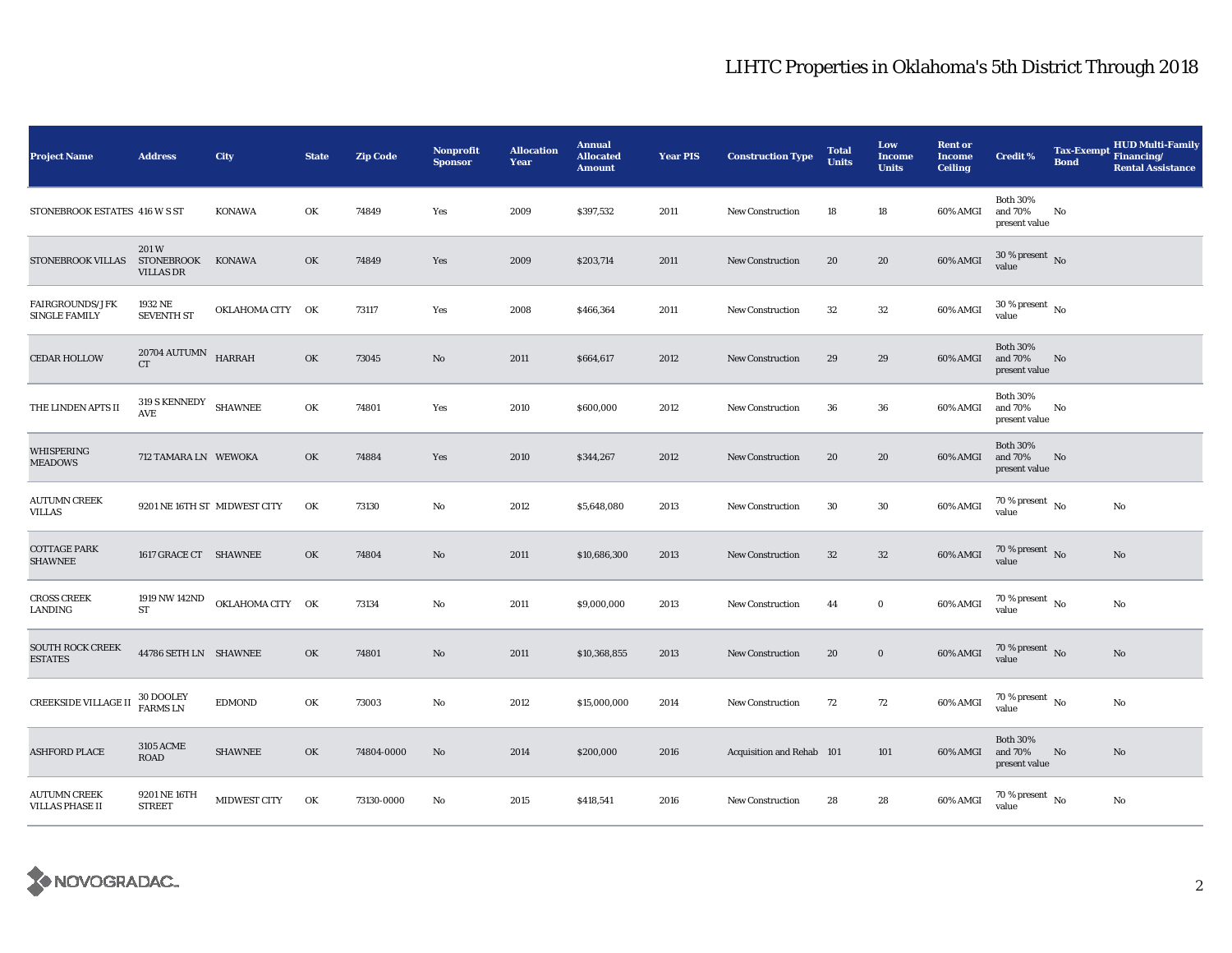| <b>Project Name</b>                            | <b>Address</b>                                | City                         | <b>State</b> | <b>Zip Code</b> | Nonprofit<br><b>Sponsor</b> | <b>Allocation</b><br>Year | <b>Annual</b><br><b>Allocated</b><br><b>Amount</b> | <b>Year PIS</b> | <b>Construction Type</b>  | <b>Total</b><br><b>Units</b> | Low<br><b>Income</b><br><b>Units</b> | <b>Rent or</b><br><b>Income</b><br><b>Ceiling</b> | <b>Credit %</b>                             | <b>Bond</b> | <b>HUD Multi-Family</b><br>Tax-Exempt Financing/<br><b>Rental Assistance</b> |
|------------------------------------------------|-----------------------------------------------|------------------------------|--------------|-----------------|-----------------------------|---------------------------|----------------------------------------------------|-----------------|---------------------------|------------------------------|--------------------------------------|---------------------------------------------------|---------------------------------------------|-------------|------------------------------------------------------------------------------|
| STONEBROOK ESTATES 416 W S ST                  |                                               | KONAWA                       | OK           | 74849           | Yes                         | 2009                      | \$397,532                                          | 2011            | <b>New Construction</b>   | 18                           | 18                                   | 60% AMGI                                          | <b>Both 30%</b><br>and 70%<br>present value | No          |                                                                              |
| STONEBROOK VILLAS                              | 201W<br><b>STONEBROOK</b><br><b>VILLAS DR</b> | KONAWA                       | OK           | 74849           | Yes                         | 2009                      | \$203,714                                          | 2011            | <b>New Construction</b>   | 20                           | 20                                   | 60% AMGI                                          | $30\,\%$ present $\,$ No $\,$<br>value      |             |                                                                              |
| <b>FAIRGROUNDS/JFK</b><br><b>SINGLE FAMILY</b> | 1932 NE<br><b>SEVENTH ST</b>                  | OKLAHOMA CITY OK             |              | 73117           | Yes                         | 2008                      | \$466,364                                          | 2011            | New Construction          | $32\,$                       | $32\,$                               | 60% AMGI                                          | $30$ % present $\,$ No $\,$<br>value        |             |                                                                              |
| <b>CEDAR HOLLOW</b>                            | $20704$ AUTUMN $$\tt HARRAH$$<br><b>CT</b>    |                              | OK           | 73045           | No                          | 2011                      | \$664,617                                          | 2012            | New Construction          | 29                           | 29                                   | 60% AMGI                                          | <b>Both 30%</b><br>and 70%<br>present value | No          |                                                                              |
| THE LINDEN APTS II                             | $319$ S KENNEDY $$\rm SHAWNEE$$<br>AVE        |                              | OK           | 74801           | Yes                         | 2010                      | \$600,000                                          | 2012            | <b>New Construction</b>   | 36                           | 36                                   | 60% AMGI                                          | <b>Both 30%</b><br>and 70%<br>present value | No          |                                                                              |
| WHISPERING<br><b>MEADOWS</b>                   | 712 TAMARA LN WEWOKA                          |                              | OK           | 74884           | Yes                         | 2010                      | \$344,267                                          | 2012            | <b>New Construction</b>   | 20                           | 20                                   | 60% AMGI                                          | <b>Both 30%</b><br>and 70%<br>present value | No          |                                                                              |
| <b>AUTUMN CREEK</b><br><b>VILLAS</b>           |                                               | 9201 NE 16TH ST MIDWEST CITY | OK           | 73130           | No                          | 2012                      | \$5,648,080                                        | 2013            | New Construction          | 30                           | 30                                   | 60% AMGI                                          | 70 % present $\hbox{~No}$<br>value          |             | No                                                                           |
| <b>COTTAGE PARK</b><br><b>SHAWNEE</b>          | 1617 GRACE CT SHAWNEE                         |                              | OK           | 74804           | No                          | 2011                      | \$10,686,300                                       | 2013            | <b>New Construction</b>   | $32\,$                       | $32\phantom{.0}$                     | 60% AMGI                                          | $70$ % present $\,$ No $\,$<br>value        |             | No                                                                           |
| <b>CROSS CREEK</b><br>LANDING                  | 1919 NW 142ND<br>ST                           | OKLAHOMA CITY OK             |              | 73134           | No                          | 2011                      | \$9,000,000                                        | 2013            | <b>New Construction</b>   | 44                           | $\bf{0}$                             | 60% AMGI                                          | $70$ % present $\,$ No $\,$<br>value        |             | No                                                                           |
| <b>SOUTH ROCK CREEK</b><br><b>ESTATES</b>      | 44786 SETH LN SHAWNEE                         |                              | OK           | 74801           | No                          | 2011                      | \$10,368,855                                       | 2013            | New Construction          | 20                           | $\bf{0}$                             | 60% AMGI                                          | $70$ % present $_{\rm{No}}$                 |             | $\rm No$                                                                     |
| CREEKSIDE VILLAGE II                           | 30 DOOLEY<br><b>FARMS LN</b>                  | <b>EDMOND</b>                | OK           | 73003           | No                          | 2012                      | \$15,000,000                                       | 2014            | <b>New Construction</b>   | 72                           | 72                                   | 60% AMGI                                          | 70 % present $\hbox{~No}$<br>value          |             | No                                                                           |
| <b>ASHFORD PLACE</b>                           | <b>3105 ACME</b><br>ROAD                      | <b>SHAWNEE</b>               | OK           | 74804-0000      | No                          | 2014                      | \$200,000                                          | 2016            | Acquisition and Rehab 101 |                              | 101                                  | 60% AMGI                                          | <b>Both 30%</b><br>and 70%<br>present value | No          | No                                                                           |
| <b>AUTUMN CREEK</b><br><b>VILLAS PHASE II</b>  | 9201 NE 16TH<br><b>STREET</b>                 | <b>MIDWEST CITY</b>          | OK           | 73130-0000      | No                          | 2015                      | \$418,541                                          | 2016            | <b>New Construction</b>   | 28                           | 28                                   | 60% AMGI                                          | $70\,\%$ present $\,$ No $\,$<br>value      |             | No                                                                           |

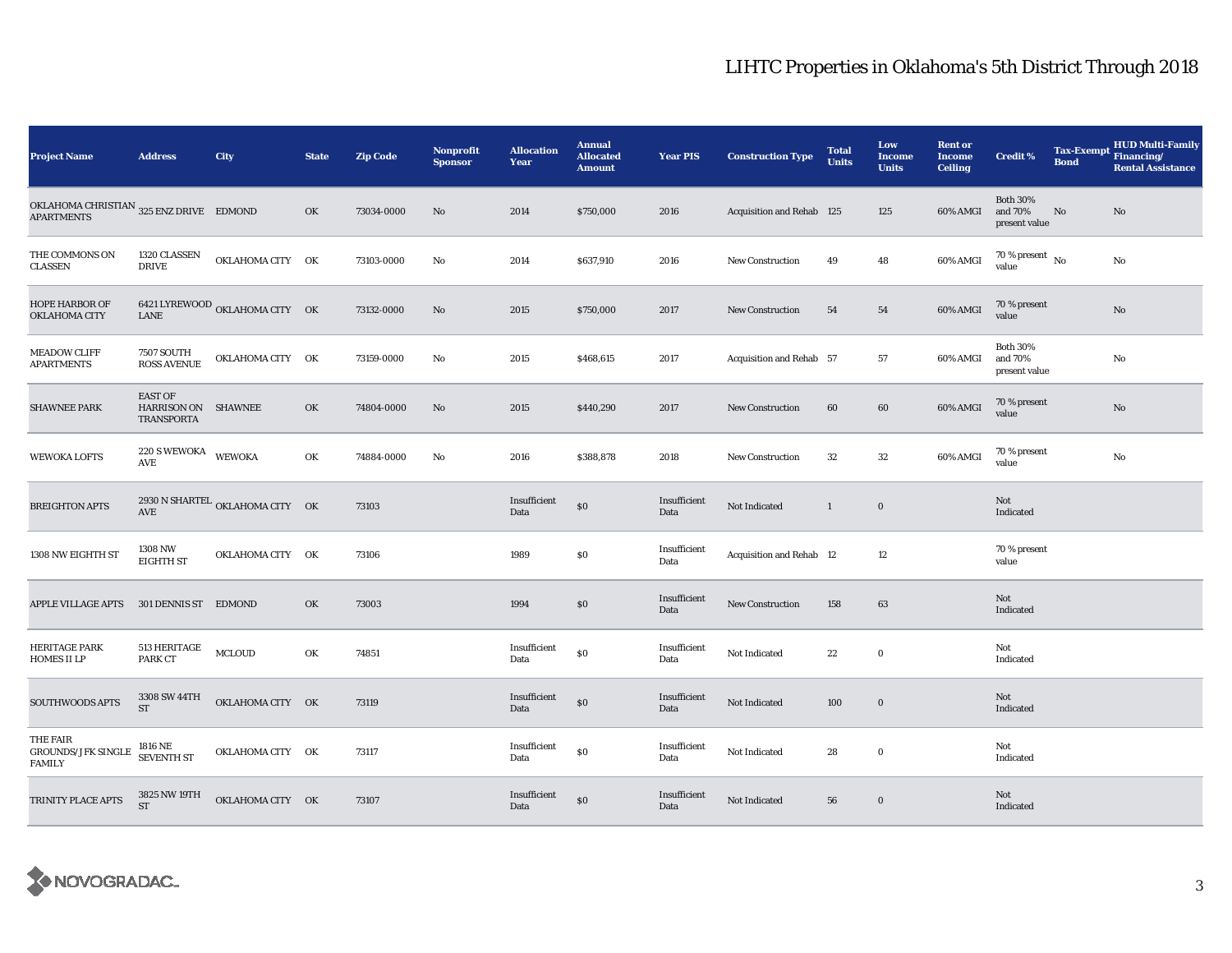| <b>Project Name</b>                                            | <b>Address</b>                                      | City                            | <b>State</b> | <b>Zip Code</b> | Nonprofit<br><b>Sponsor</b> | <b>Allocation</b><br>Year | <b>Annual</b><br><b>Allocated</b><br><b>Amount</b> | <b>Year PIS</b>      | <b>Construction Type</b>  | <b>Total</b><br><b>Units</b> | Low<br><b>Income</b><br><b>Units</b> | <b>Rent or</b><br><b>Income</b><br><b>Ceiling</b> | Credit %                                    | <b>Tax-Exempt</b><br><b>Bond</b> | <b>HUD Multi-Family</b><br>Financing/<br><b>Rental Assistance</b> |
|----------------------------------------------------------------|-----------------------------------------------------|---------------------------------|--------------|-----------------|-----------------------------|---------------------------|----------------------------------------------------|----------------------|---------------------------|------------------------------|--------------------------------------|---------------------------------------------------|---------------------------------------------|----------------------------------|-------------------------------------------------------------------|
| OKLAHOMA CHRISTIAN $325$ ENZ DRIVE EDMOND<br><b>APARTMENTS</b> |                                                     |                                 | OK           | 73034-0000      | No                          | 2014                      | \$750,000                                          | 2016                 | Acquisition and Rehab 125 |                              | 125                                  | 60% AMGI                                          | <b>Both 30%</b><br>and 70%<br>present value | No                               | No                                                                |
| THE COMMONS ON<br><b>CLASSEN</b>                               | 1320 CLASSEN<br><b>DRIVE</b>                        | OKLAHOMA CITY OK                |              | 73103-0000      | No                          | 2014                      | \$637,910                                          | 2016                 | <b>New Construction</b>   | 49                           | 48                                   | 60% AMGI                                          | 70 % present $\overline{N_0}$<br>value      |                                  | No                                                                |
| <b>HOPE HARBOR OF</b><br>OKLAHOMA CITY                         | <b>LANE</b>                                         | 6421 LYREWOOD OKLAHOMA CITY OK  |              | 73132-0000      | No                          | 2015                      | \$750,000                                          | 2017                 | <b>New Construction</b>   | 54                           | 54                                   | 60% AMGI                                          | 70 % present<br>value                       |                                  | $\rm No$                                                          |
| <b>MEADOW CLIFF</b><br><b>APARTMENTS</b>                       | <b>7507 SOUTH</b><br><b>ROSS AVENUE</b>             | OKLAHOMA CITY OK                |              | 73159-0000      | No                          | 2015                      | \$468,615                                          | 2017                 | Acquisition and Rehab 57  |                              | 57                                   | 60% AMGI                                          | <b>Both 30%</b><br>and 70%<br>present value |                                  | No                                                                |
| <b>SHAWNEE PARK</b>                                            | <b>EAST OF</b><br>HARRISON ON SHAWNEE<br>TRANSPORTA |                                 | OK           | 74804-0000      | No                          | 2015                      | \$440,290                                          | 2017                 | <b>New Construction</b>   | 60                           | 60                                   | 60% AMGI                                          | 70 % present<br>value                       |                                  | No                                                                |
| <b>WEWOKA LOFTS</b>                                            | $220$ S WEWOKA WEWOKA<br><b>AVE</b>                 |                                 | OK           | 74884-0000      | No                          | 2016                      | \$388,878                                          | 2018                 | <b>New Construction</b>   | $32\,$                       | $32\,$                               | 60% AMGI                                          | 70 % present<br>value                       |                                  | No                                                                |
| <b>BREIGHTON APTS</b>                                          | AVE                                                 | 2930 N SHARTEL OKLAHOMA CITY OK |              | 73103           |                             | Insufficient<br>Data      | $\$0$                                              | Insufficient<br>Data | Not Indicated             | 1                            | $\mathbf 0$                          |                                                   | Not<br>Indicated                            |                                  |                                                                   |
| 1308 NW EIGHTH ST                                              | 1308 NW<br><b>EIGHTH ST</b>                         | OKLAHOMA CITY OK                |              | 73106           |                             | 1989                      | $\$0$                                              | Insufficient<br>Data | Acquisition and Rehab 12  |                              | 12                                   |                                                   | 70 % present<br>value                       |                                  |                                                                   |
| <b>APPLE VILLAGE APTS</b>                                      | 301 DENNIS ST EDMOND                                |                                 | OK           | 73003           |                             | 1994                      | \$0                                                | Insufficient<br>Data | <b>New Construction</b>   | 158                          | 63                                   |                                                   | Not<br>Indicated                            |                                  |                                                                   |
| HERITAGE PARK<br><b>HOMES II LP</b>                            | 513 HERITAGE<br>PARK CT                             | MCLOUD                          | OK           | 74851           |                             | Insufficient<br>Data      | \$0                                                | Insufficient<br>Data | Not Indicated             | $\bf{22}$                    | $\bf{0}$                             |                                                   | Not<br>Indicated                            |                                  |                                                                   |
| SOUTHWOODS APTS                                                | 3308 SW 44TH<br><b>ST</b>                           | OKLAHOMA CITY OK                |              | 73119           |                             | Insufficient<br>Data      | \$0                                                | Insufficient<br>Data | Not Indicated             | 100                          | $\mathbf 0$                          |                                                   | Not<br>Indicated                            |                                  |                                                                   |
| THE FAIR<br><b>GROUNDS/JFK SINGLE</b><br><b>FAMILY</b>         | 1816 NE<br>SEVENTH ST                               | OKLAHOMA CITY OK                |              | 73117           |                             | Insufficient<br>Data      | \$0                                                | Insufficient<br>Data | Not Indicated             | 28                           | $\bf{0}$                             |                                                   | Not<br>Indicated                            |                                  |                                                                   |
| TRINITY PLACE APTS                                             | 3825 NW 19TH<br><b>ST</b>                           | OKLAHOMA CITY OK                |              | 73107           |                             | Insufficient<br>Data      | \$0                                                | Insufficient<br>Data | Not Indicated             | 56                           | $\bf{0}$                             |                                                   | Not<br>Indicated                            |                                  |                                                                   |

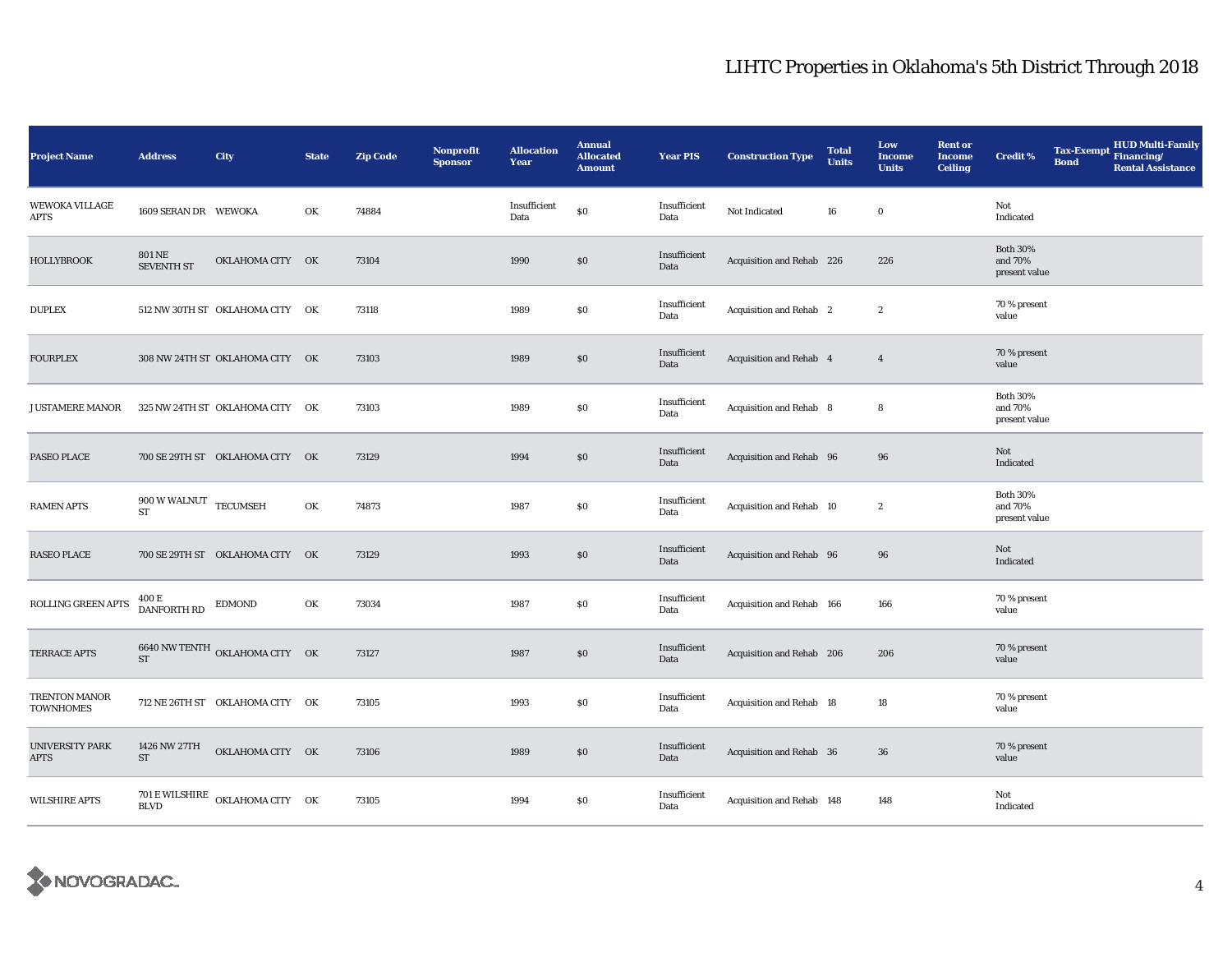| <b>Project Name</b>            | <b>Address</b>                                           | <b>City</b>                     | <b>State</b> | <b>Zip Code</b> | Nonprofit<br><b>Sponsor</b> | <b>Allocation</b><br>Year | <b>Annual</b><br><b>Allocated</b><br><b>Amount</b> | <b>Year PIS</b>      | <b>Construction Type</b>  | <b>Total</b><br><b>Units</b> | Low<br><b>Income</b><br><b>Units</b> | <b>Rent or</b><br><b>Income</b><br><b>Ceiling</b> | <b>Credit %</b>                             | Tax-Exempt Financing/<br><b>Bond</b> | <b>HUD Multi-Family</b><br><b>Rental Assistance</b> |
|--------------------------------|----------------------------------------------------------|---------------------------------|--------------|-----------------|-----------------------------|---------------------------|----------------------------------------------------|----------------------|---------------------------|------------------------------|--------------------------------------|---------------------------------------------------|---------------------------------------------|--------------------------------------|-----------------------------------------------------|
| <b>WEWOKA VILLAGE</b><br>APTS  | 1609 SERAN DR WEWOKA                                     |                                 | OK           | 74884           |                             | Insufficient<br>Data      | \$0                                                | Insufficient<br>Data | Not Indicated             | 16                           | $\bf{0}$                             |                                                   | Not<br>Indicated                            |                                      |                                                     |
| <b>HOLLYBROOK</b>              | <b>801 NE</b><br><b>SEVENTH ST</b>                       | OKLAHOMA CITY OK                |              | 73104           |                             | 1990                      | \$0                                                | Insufficient<br>Data | Acquisition and Rehab 226 |                              | 226                                  |                                                   | <b>Both 30%</b><br>and 70%<br>present value |                                      |                                                     |
| <b>DUPLEX</b>                  |                                                          | 512 NW 30TH ST OKLAHOMA CITY OK |              | 73118           |                             | 1989                      | $\$0$                                              | Insufficient<br>Data | Acquisition and Rehab 2   |                              | $\boldsymbol{2}$                     |                                                   | 70 % present<br>value                       |                                      |                                                     |
| <b>FOURPLEX</b>                |                                                          | 308 NW 24TH ST OKLAHOMA CITY OK |              | 73103           |                             | 1989                      | \$0                                                | Insufficient<br>Data | Acquisition and Rehab 4   |                              | $\overline{4}$                       |                                                   | 70 % present<br>value                       |                                      |                                                     |
| <b>JUSTAMERE MANOR</b>         |                                                          | 325 NW 24TH ST OKLAHOMA CITY OK |              | 73103           |                             | 1989                      | $\$0$                                              | Insufficient<br>Data | Acquisition and Rehab 8   |                              | 8                                    |                                                   | <b>Both 30%</b><br>and 70%<br>present value |                                      |                                                     |
| PASEO PLACE                    |                                                          | 700 SE 29TH ST OKLAHOMA CITY OK |              | 73129           |                             | 1994                      | \$0                                                | Insufficient<br>Data | Acquisition and Rehab 96  |                              | 96                                   |                                                   | Not<br>Indicated                            |                                      |                                                     |
| <b>RAMEN APTS</b>              | $900\,\mathrm{W}\,\mathrm{WALNUT}$ TECUMSEH<br><b>ST</b> |                                 | OK           | 74873           |                             | 1987                      | \$0                                                | Insufficient<br>Data | Acquisition and Rehab 10  |                              | $\boldsymbol{2}$                     |                                                   | <b>Both 30%</b><br>and 70%<br>present value |                                      |                                                     |
| <b>RASEO PLACE</b>             |                                                          | 700 SE 29TH ST OKLAHOMA CITY OK |              | 73129           |                             | 1993                      | \$0                                                | Insufficient<br>Data | Acquisition and Rehab 96  |                              | 96                                   |                                                   | Not<br>Indicated                            |                                      |                                                     |
| ROLLING GREEN APTS             | 400 E<br>DANFORTH RD                                     | EDMOND                          | OK           | 73034           |                             | 1987                      | $\$0$                                              | Insufficient<br>Data | Acquisition and Rehab 166 |                              | 166                                  |                                                   | 70 % present<br>value                       |                                      |                                                     |
| <b>TERRACE APTS</b>            | ST                                                       | 6640 NW TENTH OKLAHOMA CITY OK  |              | 73127           |                             | 1987                      | \$0\$                                              | Insufficient<br>Data | Acquisition and Rehab 206 |                              | 206                                  |                                                   | 70 % present<br>value                       |                                      |                                                     |
| TRENTON MANOR<br>TOWNHOMES     |                                                          | 712 NE 26TH ST OKLAHOMA CITY OK |              | 73105           |                             | 1993                      | $\$0$                                              | Insufficient<br>Data | Acquisition and Rehab 18  |                              | 18                                   |                                                   | 70 % present<br>value                       |                                      |                                                     |
| UNIVERSITY PARK<br><b>APTS</b> | 1426 NW 27TH<br>ST                                       | OKLAHOMA CITY OK                |              | 73106           |                             | 1989                      | $\$0$                                              | Insufficient<br>Data | Acquisition and Rehab 36  |                              | 36                                   |                                                   | 70 % present<br>value                       |                                      |                                                     |
| <b>WILSHIRE APTS</b>           | <b>BLVD</b>                                              | 701 E WILSHIRE OKLAHOMA CITY OK |              | 73105           |                             | 1994                      | \$0                                                | Insufficient<br>Data | Acquisition and Rehab 148 |                              | 148                                  |                                                   | Not<br>Indicated                            |                                      |                                                     |

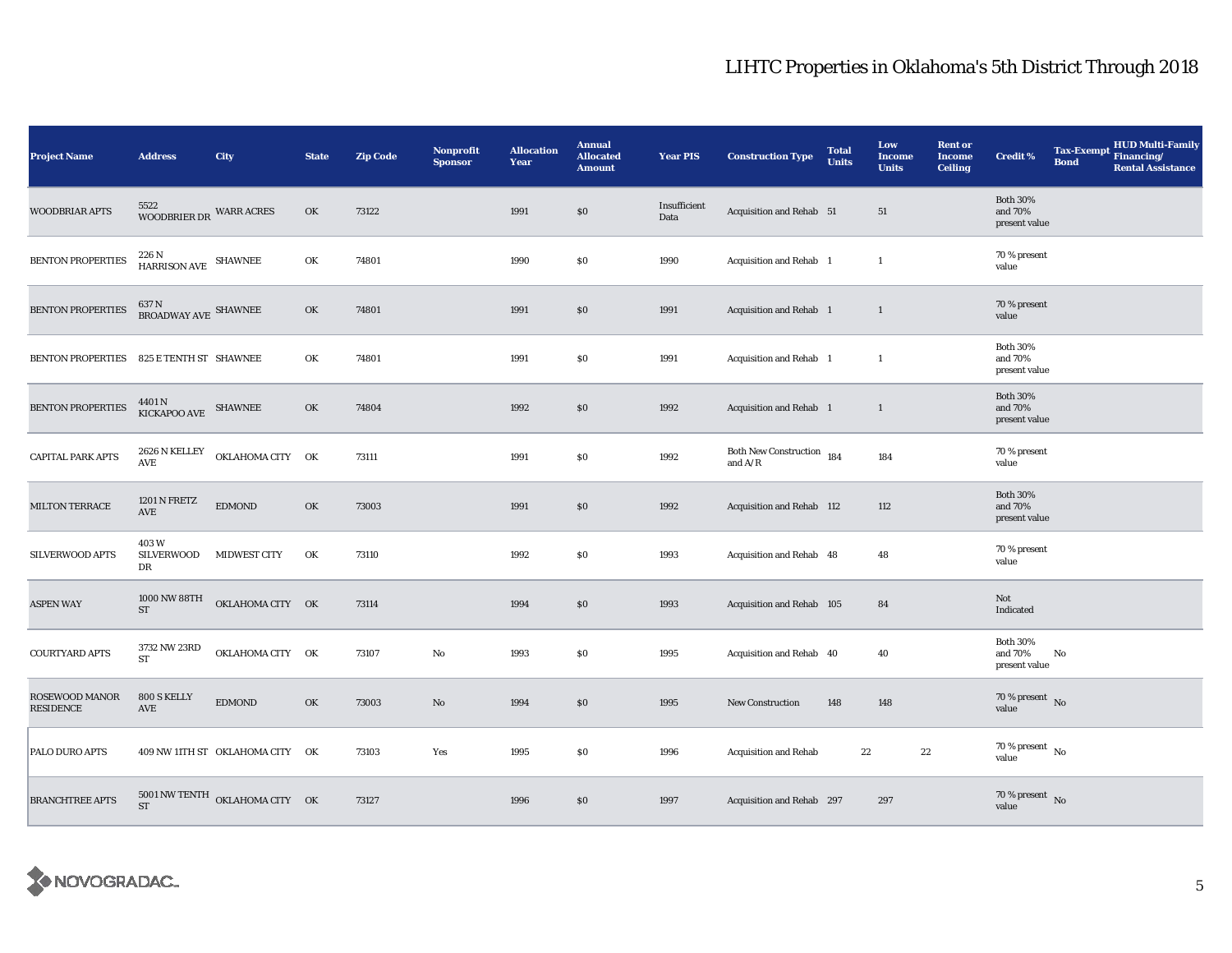| <b>Project Name</b>         | <b>Address</b>                                 | City                                                 | <b>State</b> | <b>Zip Code</b> | <b>Nonprofit</b><br><b>Sponsor</b> | <b>Allocation</b><br>Year | <b>Annual</b><br><b>Allocated</b><br><b>Amount</b> | <b>Year PIS</b>      | <b>Construction Type</b>               | <b>Total</b><br><b>Units</b> | Low<br>Income<br><b>Units</b> | <b>Rent or</b><br><b>Income</b><br><b>Ceiling</b> | <b>Credit %</b>                             | <b>Bond</b> | <b>HUD Multi-Family</b><br>Tax-Exempt Financing/<br><b>Rental Assistance</b> |
|-----------------------------|------------------------------------------------|------------------------------------------------------|--------------|-----------------|------------------------------------|---------------------------|----------------------------------------------------|----------------------|----------------------------------------|------------------------------|-------------------------------|---------------------------------------------------|---------------------------------------------|-------------|------------------------------------------------------------------------------|
| <b>WOODBRIAR APTS</b>       | 5522<br>WOODBRIER DR WARR ACRES                |                                                      | OK           | 73122           |                                    | 1991                      | \$0                                                | Insufficient<br>Data | Acquisition and Rehab 51               |                              | 51                            |                                                   | <b>Both 30%</b><br>and 70%<br>present value |             |                                                                              |
| <b>BENTON PROPERTIES</b>    | $226\,\mathrm{N}$ HARRISON AVE SHAWNEE         |                                                      | OK           | 74801           |                                    | 1990                      | \$0                                                | 1990                 | Acquisition and Rehab 1                |                              | $\mathbf{1}$                  |                                                   | 70 % present<br>value                       |             |                                                                              |
| <b>BENTON PROPERTIES</b>    | $637$ N $$\tt BROADWAY\,AVE$ SHAWNEE           |                                                      | OK           | 74801           |                                    | 1991                      | \$0                                                | 1991                 | Acquisition and Rehab 1                |                              | $\mathbf{1}$                  |                                                   | 70 % present<br>value                       |             |                                                                              |
| <b>BENTON PROPERTIES</b>    | 825 E TENTH ST SHAWNEE                         |                                                      | OK           | 74801           |                                    | 1991                      | \$0                                                | 1991                 | Acquisition and Rehab 1                |                              | $\mathbf{1}$                  |                                                   | <b>Both 30%</b><br>and 70%<br>present value |             |                                                                              |
| <b>BENTON PROPERTIES</b>    | $4401\,\mathrm{N}$ $$\,$ SHAWNEE $$\,$ SHAWNEE |                                                      | OK           | 74804           |                                    | 1992                      | \$0                                                | 1992                 | Acquisition and Rehab 1                |                              | $\mathbf{1}$                  |                                                   | <b>Both 30%</b><br>and 70%<br>present value |             |                                                                              |
| <b>CAPITAL PARK APTS</b>    | 2626 N KELLEY<br>$\operatorname{\mathsf{AVE}}$ | OKLAHOMA CITY OK                                     |              | 73111           |                                    | 1991                      | \$0                                                | 1992                 | Both New Construction 184<br>and $A/R$ |                              | 184                           |                                                   | 70 % present<br>value                       |             |                                                                              |
| MILTON TERRACE              | 1201 N FRETZ<br>AVE                            | <b>EDMOND</b>                                        | OK           | 73003           |                                    | 1991                      | \$0                                                | 1992                 | Acquisition and Rehab 112              |                              | 112                           |                                                   | <b>Both 30%</b><br>and 70%<br>present value |             |                                                                              |
| SILVERWOOD APTS             | 403W<br>SILVERWOOD<br>DR                       | <b>MIDWEST CITY</b>                                  | OK           | 73110           |                                    | 1992                      | \$0                                                | 1993                 | Acquisition and Rehab 48               |                              | 48                            |                                                   | 70 % present<br>value                       |             |                                                                              |
| <b>ASPEN WAY</b>            | 1000 NW 88TH<br>ST                             | OKLAHOMA CITY OK                                     |              | 73114           |                                    | 1994                      | \$0                                                | 1993                 | Acquisition and Rehab 105              |                              | 84                            |                                                   | Not<br>Indicated                            |             |                                                                              |
| COURTYARD APTS              | 3732 NW 23RD<br><b>ST</b>                      | OKLAHOMA CITY OK                                     |              | 73107           | No                                 | 1993                      | \$0                                                | 1995                 | Acquisition and Rehab 40               |                              | 40                            |                                                   | <b>Both 30%</b><br>and 70%<br>present value | No          |                                                                              |
| ROSEWOOD MANOR<br>RESIDENCE | 800 S KELLY<br>AVE                             | <b>EDMOND</b>                                        | OK           | 73003           | No                                 | 1994                      | \$0                                                | 1995                 | New Construction                       | 148                          | 148                           |                                                   | 70 % present $\,$ No $\,$<br>value          |             |                                                                              |
| PALO DURO APTS              |                                                | 409 NW 11TH ST OKLAHOMA CITY OK                      |              | 73103           | Yes                                | 1995                      | S <sub>0</sub>                                     | 1996                 | <b>Acquisition and Rehab</b>           | $\bf{22}$                    | $\bf{22}$                     |                                                   | $70$ % present $\,$ No $\,$<br>value        |             |                                                                              |
| <b>BRANCHTREE APTS</b>      | <b>ST</b>                                      | $5001\,\mathrm{NW}\,\mathrm{TENTH}$ OKLAHOMA CITY OK |              | 73127           |                                    | 1996                      | \$0                                                | 1997                 | Acquisition and Rehab 297              |                              | 297                           |                                                   | $70\,\%$ present $\,$ No value              |             |                                                                              |

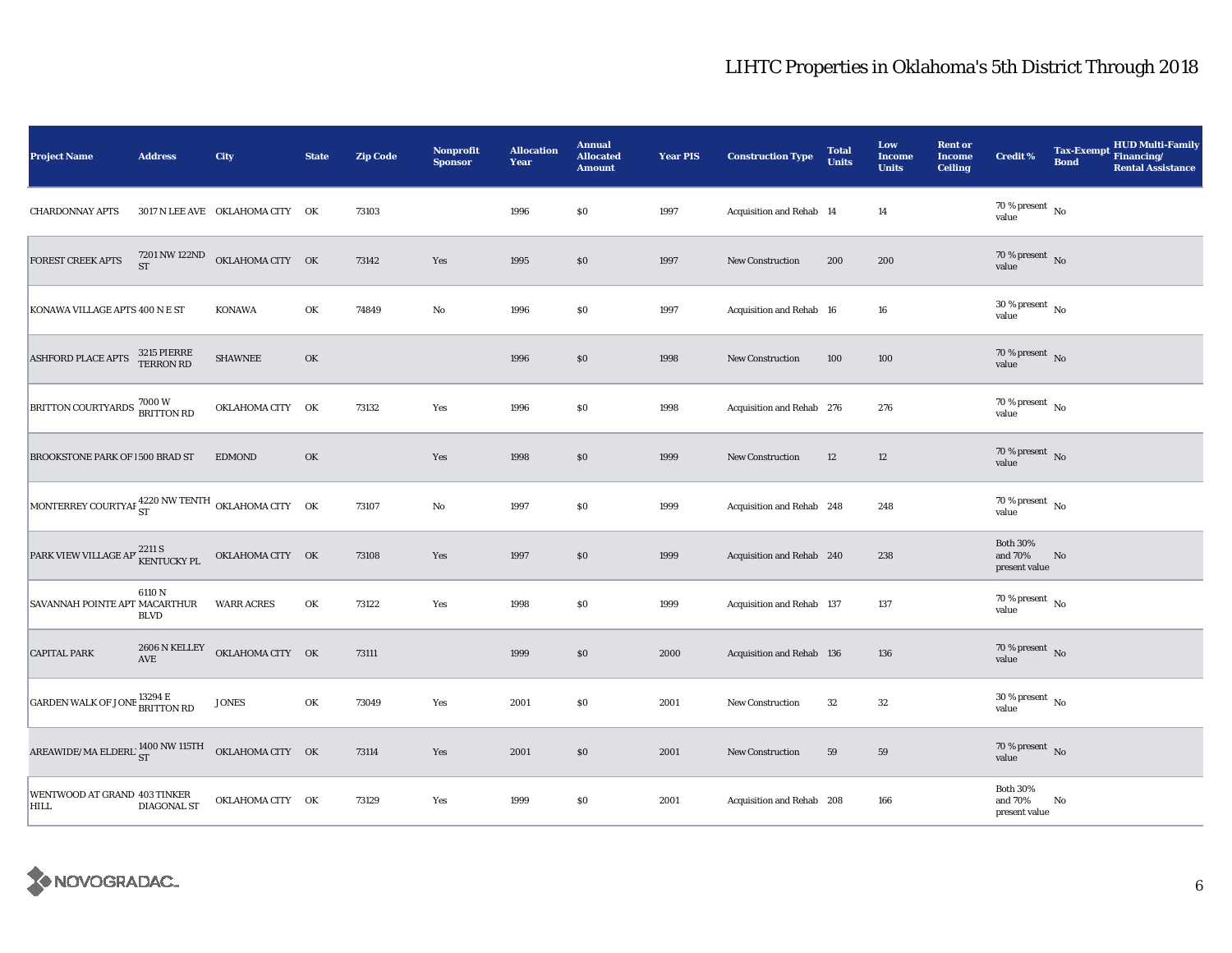| <b>Project Name</b>                                                     | <b>Address</b>           | City                            | <b>State</b> | <b>Zip Code</b> | Nonprofit<br><b>Sponsor</b> | <b>Allocation</b><br>Year | <b>Annual</b><br><b>Allocated</b><br><b>Amount</b> | <b>Year PIS</b> | <b>Construction Type</b>  | <b>Total</b><br><b>Units</b> | Low<br><b>Income</b><br><b>Units</b> | <b>Rent or</b><br><b>Income</b><br><b>Ceiling</b> | <b>Credit %</b>                                       | <b>Bond</b> | Tax-Exempt HUD Multi-Family<br><b>Rental Assistance</b> |
|-------------------------------------------------------------------------|--------------------------|---------------------------------|--------------|-----------------|-----------------------------|---------------------------|----------------------------------------------------|-----------------|---------------------------|------------------------------|--------------------------------------|---------------------------------------------------|-------------------------------------------------------|-------------|---------------------------------------------------------|
| <b>CHARDONNAY APTS</b>                                                  |                          | 3017 N LEE AVE OKLAHOMA CITY OK |              | 73103           |                             | 1996                      | \$0                                                | 1997            | Acquisition and Rehab 14  |                              | 14                                   |                                                   | $70\,\%$ present $\overline{\phantom{1}}$ No<br>value |             |                                                         |
| FOREST CREEK APTS                                                       | <b>ST</b>                | 7201 NW 122ND OKLAHOMA CITY OK  |              | 73142           | Yes                         | 1995                      | \$0                                                | 1997            | <b>New Construction</b>   | 200                          | 200                                  |                                                   | 70 % present $\overline{N_0}$<br>value                |             |                                                         |
| KONAWA VILLAGE APTS 400 N E ST                                          |                          | KONAWA                          | OK           | 74849           | No                          | 1996                      | \$0                                                | 1997            | Acquisition and Rehab 16  |                              | 16                                   |                                                   | $30\,\%$ present $\,$ No $\,$<br>value                |             |                                                         |
| <b>ASHFORD PLACE APTS</b>                                               | 3215 PIERRE<br>TERRON RD | <b>SHAWNEE</b>                  | OK           |                 |                             | 1996                      | \$0                                                | 1998            | New Construction          | 100                          | 100                                  |                                                   | $70\,\%$ present $\,$ No value                        |             |                                                         |
| BRITTON COURTYARDS 7000 W<br>BRITTON RD                                 |                          | OKLAHOMA CITY OK                |              | 73132           | Yes                         | 1996                      | \$0                                                | 1998            | Acquisition and Rehab 276 |                              | 276                                  |                                                   | 70 % present $\hbox{~No}$<br>value                    |             |                                                         |
| BROOKSTONE PARK OF 1500 BRAD ST                                         |                          | <b>EDMOND</b>                   | OK           |                 | Yes                         | 1998                      | \$0                                                | 1999            | New Construction          | 12                           | 12                                   |                                                   | 70 % present $\bar{N}$ o<br>value                     |             |                                                         |
| MONTERREY COURTYAF 4220 NW TENTH OKLAHOMA CITY OK                       |                          |                                 |              | 73107           | No                          | 1997                      | \$0                                                | 1999            | Acquisition and Rehab 248 |                              | 248                                  |                                                   | $70$ % present $\,$ No $\,$<br>value                  |             |                                                         |
| PARK VIEW VILLAGE AP' 2211 S<br>KENTUCKY PL                             |                          | OKLAHOMA CITY OK                |              | 73108           | Yes                         | 1997                      | \$0                                                | 1999            | Acquisition and Rehab 240 |                              | 238                                  |                                                   | <b>Both 30%</b><br>and 70%<br>present value           | No          |                                                         |
| SAVANNAH POINTE APT MACARTHUR                                           | 6110 N<br><b>BLVD</b>    | <b>WARR ACRES</b>               | OK           | 73122           | Yes                         | 1998                      | \$0                                                | 1999            | Acquisition and Rehab 137 |                              | 137                                  |                                                   | 70 % present $\hbox{~No}$<br>value                    |             |                                                         |
| <b>CAPITAL PARK</b>                                                     | 2606 N KELLEY<br>AVE     | OKLAHOMA CITY OK                |              | 73111           |                             | 1999                      | \$0                                                | 2000            | Acquisition and Rehab 136 |                              | 136                                  |                                                   | $70\,\%$ present $\,$ No value                        |             |                                                         |
| <b>GARDEN WALK OF JONE 13294 E</b><br><b>BRITTON RD</b>                 |                          | <b>JONES</b>                    | OK           | 73049           | Yes                         | 2001                      | \$0                                                | 2001            | New Construction          | 32                           | 32                                   |                                                   | $30$ % present $\,$ No $\,$<br>value                  |             |                                                         |
| AREAWIDE/MA ELDERL $^{1400\, \rm{NW}\, 115\, \rm{TH}}$ OKLAHOMA CITY OK |                          |                                 |              | 73114           | Yes                         | 2001                      | \$0                                                | 2001            | New Construction          | 59                           | 59                                   |                                                   | 70 % present $\,$ No $\,$<br>value                    |             |                                                         |
| WENTWOOD AT GRAND 403 TINKER<br><b>HILL</b>                             | <b>DIAGONAL ST</b>       | OKLAHOMA CITY OK                |              | 73129           | Yes                         | 1999                      | \$0                                                | 2001            | Acquisition and Rehab 208 |                              | 166                                  |                                                   | <b>Both 30%</b><br>and 70%<br>present value           | No          |                                                         |

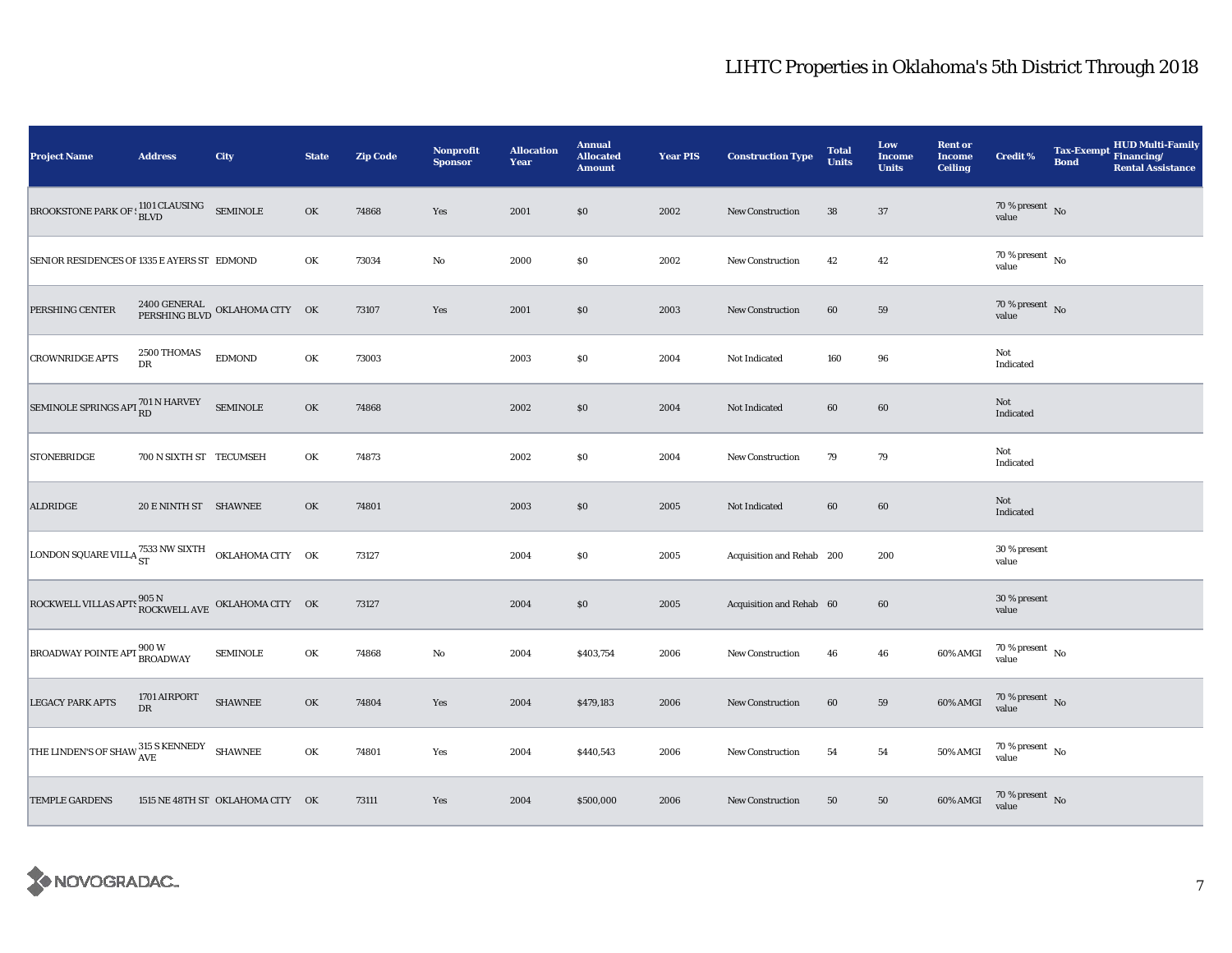| <b>Project Name</b>                                                                                                                                | <b>Address</b>          | City                                        | <b>State</b> | <b>Zip Code</b> | Nonprofit<br><b>Sponsor</b> | <b>Allocation</b><br>Year | <b>Annual</b><br><b>Allocated</b><br><b>Amount</b> | <b>Year PIS</b> | <b>Construction Type</b>  | <b>Total</b><br><b>Units</b> | Low<br>Income<br><b>Units</b> | <b>Rent or</b><br><b>Income</b><br><b>Ceiling</b> | Credit %                           | <b>Tax-Exempt</b><br><b>Bond</b> | HUD Multi-Family<br>Financing/<br><b>Rental Assistance</b> |
|----------------------------------------------------------------------------------------------------------------------------------------------------|-------------------------|---------------------------------------------|--------------|-----------------|-----------------------------|---------------------------|----------------------------------------------------|-----------------|---------------------------|------------------------------|-------------------------------|---------------------------------------------------|------------------------------------|----------------------------------|------------------------------------------------------------|
| $\boxed{\textbf{BROOKSTONE} \textbf{PARK} \textbf{OF}: \begin{matrix} 1101 \textbf{ CLASSING} & \textbf{SEMINOLE}\\ \textbf{BLVD} & \end{matrix}}$ |                         |                                             | OK           | 74868           | Yes                         | 2001                      | \$0                                                | 2002            | New Construction          | 38                           | 37                            |                                                   | 70 % present $\hbox{~No}$<br>value |                                  |                                                            |
| SENIOR RESIDENCES OF 1335 E AYERS ST EDMOND                                                                                                        |                         |                                             | OK           | 73034           | $\rm No$                    | 2000                      | $\$0$                                              | 2002            | <b>New Construction</b>   | 42                           | 42                            |                                                   | $70\,\%$ present $\,$ No value     |                                  |                                                            |
| PERSHING CENTER                                                                                                                                    |                         | 2400 GENERAL OKLAHOMA CITY OK PERSHING BLVD |              | 73107           | Yes                         | 2001                      | \$0                                                | 2003            | New Construction          | 60                           | 59                            |                                                   | $70\,\%$ present $\,$ No value     |                                  |                                                            |
| <b>CROWNRIDGE APTS</b>                                                                                                                             | 2500 THOMAS<br>DR       | <b>EDMOND</b>                               | OK           | 73003           |                             | 2003                      | $\$0$                                              | 2004            | Not Indicated             | 160                          | 96                            |                                                   | Not<br>Indicated                   |                                  |                                                            |
| SEMINOLE SPRINGS APT $_{\rm RD}^{701\,\rm N\,HARVEY}$                                                                                              |                         | <b>SEMINOLE</b>                             | OK           | 74868           |                             | 2002                      | $\$0$                                              | 2004            | Not Indicated             | 60                           | 60                            |                                                   | Not<br>Indicated                   |                                  |                                                            |
| <b>STONEBRIDGE</b>                                                                                                                                 | 700 N SIXTH ST TECUMSEH |                                             | OK           | 74873           |                             | 2002                      | \$0                                                | 2004            | New Construction          | 79                           | 79                            |                                                   | Not<br>Indicated                   |                                  |                                                            |
| <b>ALDRIDGE</b>                                                                                                                                    | 20 E NINTH ST SHAWNEE   |                                             | OK           | 74801           |                             | 2003                      | \$0                                                | 2005            | Not Indicated             | 60                           | 60                            |                                                   | Not<br>Indicated                   |                                  |                                                            |
| LONDON SQUARE VILLA $^{7533}_{\rm ST}$ NW SIXTH OKLAHOMA CITY OK                                                                                   |                         |                                             |              | 73127           |                             | 2004                      | $\$0$                                              | 2005            | Acquisition and Rehab 200 |                              | 200                           |                                                   | 30 % present<br>value              |                                  |                                                            |
| ROCKWELL VILLAS APTS $^{905\ {\rm N}}_{\rm \,ROCKWELL\,AVE}$ OKLAHOMA CITY OK                                                                      |                         |                                             |              | 73127           |                             | 2004                      | \$0\$                                              | 2005            | Acquisition and Rehab 60  |                              | $60\,$                        |                                                   | 30 % present<br>value              |                                  |                                                            |
| <b>BROADWAY POINTE APT 800 W</b><br>BROADWAY                                                                                                       |                         | <b>SEMINOLE</b>                             | OK           | 74868           | $\rm\thinspace No$          | 2004                      | \$403,754                                          | 2006            | <b>New Construction</b>   | 46                           | 46                            | 60% AMGI                                          | $70\,\%$ present $\,$ No value     |                                  |                                                            |
| <b>LEGACY PARK APTS</b>                                                                                                                            | 1701 AIRPORT<br>DR      | <b>SHAWNEE</b>                              | OK           | 74804           | Yes                         | 2004                      | \$479,183                                          | 2006            | New Construction          | 60                           | 59                            | 60% AMGI                                          | $70\,\%$ present $\,$ No value     |                                  |                                                            |
| THE LINDEN'S OF SHAW $_{\rm AVE}^{315\rm~S\,KENNEDY}$ SHAWNEE                                                                                      |                         |                                             | OK           | 74801           | Yes                         | 2004                      | \$440,543                                          | 2006            | New Construction          | 54                           | 54                            | 50% AMGI                                          | $70\,\%$ present $\,$ No value     |                                  |                                                            |
| <b>TEMPLE GARDENS</b>                                                                                                                              |                         | 1515 NE 48TH ST OKLAHOMA CITY OK            |              | 73111           | Yes                         | 2004                      | \$500,000                                          | 2006            | New Construction          | 50                           | 50                            | 60% AMGI                                          | $70\,\%$ present $\,$ No value     |                                  |                                                            |